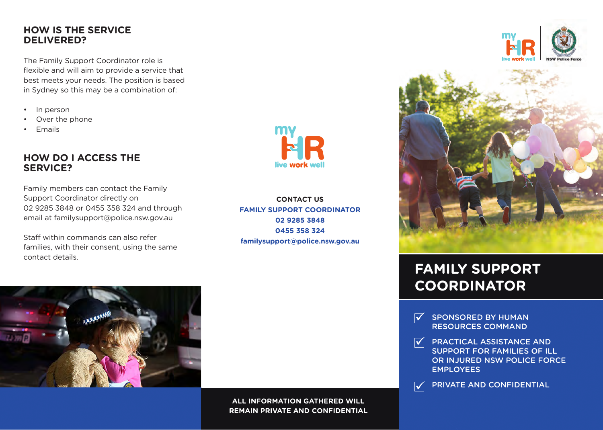#### **HOW IS THE SERVICE DELIVERED?**

The Family Support Coordinator role is flexible and will aim to provide a service that best meets your needs. The position is based in Sydney so this may be a combination of:

- In person
- Over the phone
- Emails

### **HOW DO I ACCESS THE SERVICE?**

Family members can contact the Family Support Coordinator directly on 02 9285 3848 or 0455 358 324 and through email at familysupport@police.nsw.gov.au

Staff within commands can also refer families, with their consent, using the same contact details.



**CONTACT US FAMILY SUPPORT COORDINATOR 02 9285 3848 0455 358 324 familysupport@police.nsw.gov.au**



**ALL INFORMATION GATHERED WILL REMAIN PRIVATE AND CONFIDENTIAL**





# **FAMILY SUPPORT COORDINATOR**

- SPONSORED BY HUMAN  $\mathcal{V}$ RESOURCES COMMAND
- $\overline{\mathbf{v}}$ PRACTICAL ASSISTANCE AND SUPPORT FOR FAMILIES OF ILL OR INJURED NSW POLICE FORCE EMPLOYEES
- PRIVATE AND CONFIDENTIAL  $\vert \blacktriangledown \vert$